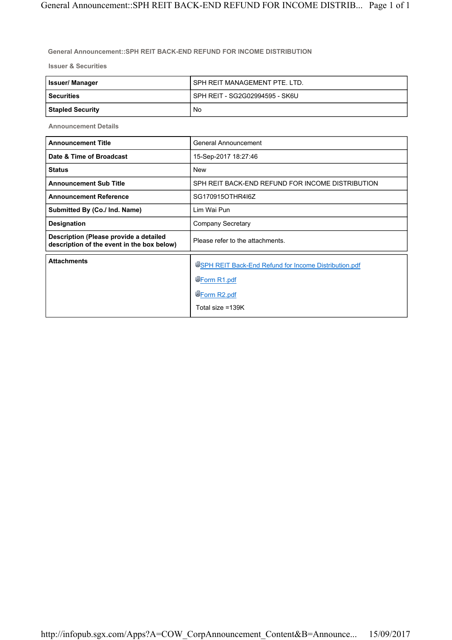## **General Announcement::SPH REIT BACK-END REFUND FOR INCOME DISTRIBUTION**

**Issuer & Securities**

| <b>Issuer/Manager</b>   | SPH REIT MANAGEMENT PTE, LTD.  |
|-------------------------|--------------------------------|
| <b>Securities</b>       | SPH REIT - SG2G02994595 - SK6U |
| <b>Stapled Security</b> | No.                            |

**Announcement Details**

| <b>Announcement Title</b>                                                            | General Announcement                                                                                             |
|--------------------------------------------------------------------------------------|------------------------------------------------------------------------------------------------------------------|
| Date & Time of Broadcast                                                             | 15-Sep-2017 18:27:46                                                                                             |
| <b>Status</b>                                                                        | <b>New</b>                                                                                                       |
| <b>Announcement Sub Title</b>                                                        | SPH REIT BACK-END REFUND FOR INCOME DISTRIBUTION                                                                 |
| <b>Announcement Reference</b>                                                        | SG170915OTHR416Z                                                                                                 |
| Submitted By (Co./ Ind. Name)                                                        | Lim Wai Pun                                                                                                      |
| <b>Designation</b>                                                                   | <b>Company Secretary</b>                                                                                         |
| Description (Please provide a detailed<br>description of the event in the box below) | Please refer to the attachments.                                                                                 |
| <b>Attachments</b>                                                                   | USPH REIT Back-End Refund for Income Distribution.pdf<br>WForm R1.pdf<br><b>WForm R2.pdf</b><br>Total size =139K |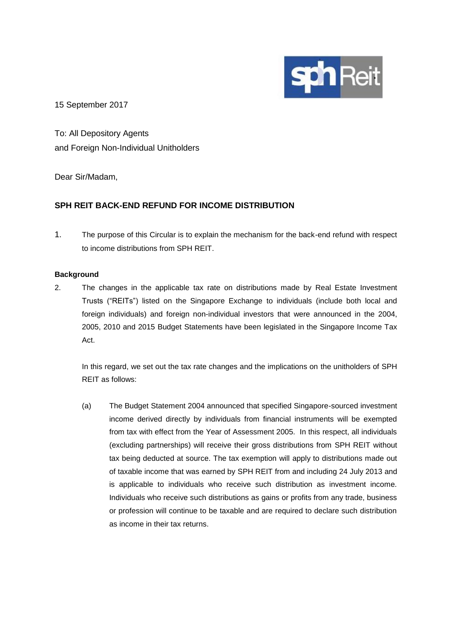

15 September 2017

To: All Depository Agents and Foreign Non-Individual Unitholders

Dear Sir/Madam,

# **SPH REIT BACK-END REFUND FOR INCOME DISTRIBUTION**

1. The purpose of this Circular is to explain the mechanism for the back-end refund with respect to income distributions from SPH REIT.

# **Background**

2. The changes in the applicable tax rate on distributions made by Real Estate Investment Trusts ("REITs") listed on the Singapore Exchange to individuals (include both local and foreign individuals) and foreign non-individual investors that were announced in the 2004, 2005, 2010 and 2015 Budget Statements have been legislated in the Singapore Income Tax Act.

In this regard, we set out the tax rate changes and the implications on the unitholders of SPH REIT as follows:

(a) The Budget Statement 2004 announced that specified Singapore-sourced investment income derived directly by individuals from financial instruments will be exempted from tax with effect from the Year of Assessment 2005. In this respect, all individuals (excluding partnerships) will receive their gross distributions from SPH REIT without tax being deducted at source. The tax exemption will apply to distributions made out of taxable income that was earned by SPH REIT from and including 24 July 2013 and is applicable to individuals who receive such distribution as investment income. Individuals who receive such distributions as gains or profits from any trade, business or profession will continue to be taxable and are required to declare such distribution as income in their tax returns.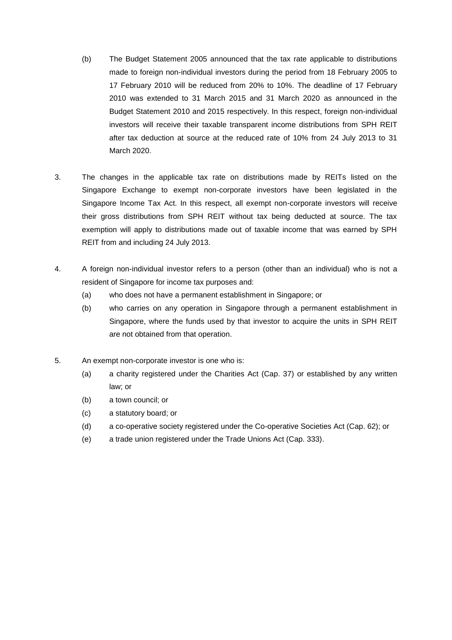- (b) The Budget Statement 2005 announced that the tax rate applicable to distributions made to foreign non-individual investors during the period from 18 February 2005 to 17 February 2010 will be reduced from 20% to 10%. The deadline of 17 February 2010 was extended to 31 March 2015 and 31 March 2020 as announced in the Budget Statement 2010 and 2015 respectively. In this respect, foreign non-individual investors will receive their taxable transparent income distributions from SPH REIT after tax deduction at source at the reduced rate of 10% from 24 July 2013 to 31 March 2020.
- 3. The changes in the applicable tax rate on distributions made by REITs listed on the Singapore Exchange to exempt non-corporate investors have been legislated in the Singapore Income Tax Act. In this respect, all exempt non-corporate investors will receive their gross distributions from SPH REIT without tax being deducted at source. The tax exemption will apply to distributions made out of taxable income that was earned by SPH REIT from and including 24 July 2013.
- 4. A foreign non-individual investor refers to a person (other than an individual) who is not a resident of Singapore for income tax purposes and:
	- (a) who does not have a permanent establishment in Singapore; or
	- (b) who carries on any operation in Singapore through a permanent establishment in Singapore, where the funds used by that investor to acquire the units in SPH REIT are not obtained from that operation.
- 5. An exempt non-corporate investor is one who is:
	- (a) a charity registered under the Charities Act (Cap. 37) or established by any written law; or
	- (b) a town council; or
	- (c) a statutory board; or
	- (d) a co-operative society registered under the Co-operative Societies Act (Cap. 62); or
	- (e) a trade union registered under the Trade Unions Act (Cap. 333).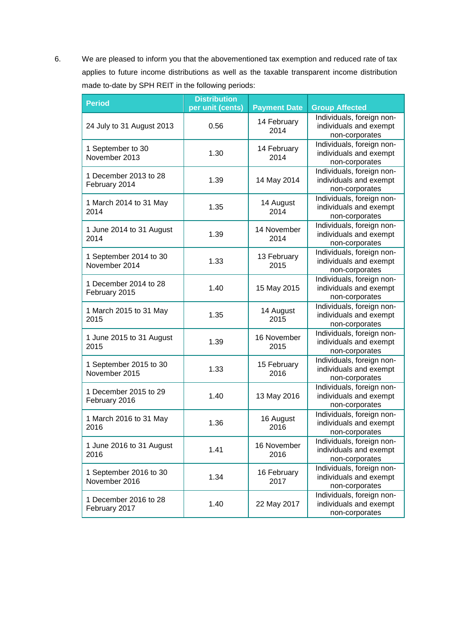6. We are pleased to inform you that the abovementioned tax exemption and reduced rate of tax applies to future income distributions as well as the taxable transparent income distribution made to-date by SPH REIT in the following periods:

| <b>Period</b>                           | <b>Distribution</b><br>per unit (cents) | <b>Payment Date</b> | <b>Group Affected</b>                                                 |
|-----------------------------------------|-----------------------------------------|---------------------|-----------------------------------------------------------------------|
| 24 July to 31 August 2013               | 0.56                                    | 14 February<br>2014 | Individuals, foreign non-<br>individuals and exempt<br>non-corporates |
| 1 September to 30<br>November 2013      | 1.30                                    | 14 February<br>2014 | Individuals, foreign non-<br>individuals and exempt<br>non-corporates |
| 1 December 2013 to 28<br>February 2014  | 1.39                                    | 14 May 2014         | Individuals, foreign non-<br>individuals and exempt<br>non-corporates |
| 1 March 2014 to 31 May<br>2014          | 1.35                                    | 14 August<br>2014   | Individuals, foreign non-<br>individuals and exempt<br>non-corporates |
| 1 June 2014 to 31 August<br>2014        | 1.39                                    | 14 November<br>2014 | Individuals, foreign non-<br>individuals and exempt<br>non-corporates |
| 1 September 2014 to 30<br>November 2014 | 1.33                                    | 13 February<br>2015 | Individuals, foreign non-<br>individuals and exempt<br>non-corporates |
| 1 December 2014 to 28<br>February 2015  | 1.40                                    | 15 May 2015         | Individuals, foreign non-<br>individuals and exempt<br>non-corporates |
| 1 March 2015 to 31 May<br>2015          | 1.35                                    | 14 August<br>2015   | Individuals, foreign non-<br>individuals and exempt<br>non-corporates |
| 1 June 2015 to 31 August<br>2015        | 1.39                                    | 16 November<br>2015 | Individuals, foreign non-<br>individuals and exempt<br>non-corporates |
| 1 September 2015 to 30<br>November 2015 | 1.33                                    | 15 February<br>2016 | Individuals, foreign non-<br>individuals and exempt<br>non-corporates |
| 1 December 2015 to 29<br>February 2016  | 1.40                                    | 13 May 2016         | Individuals, foreign non-<br>individuals and exempt<br>non-corporates |
| 1 March 2016 to 31 May<br>2016          | 1.36                                    | 16 August<br>2016   | Individuals, foreign non-<br>individuals and exempt<br>non-corporates |
| 1 June 2016 to 31 August<br>2016        | 1.41                                    | 16 November<br>2016 | Individuals, foreign non-<br>individuals and exempt<br>non-corporates |
| 1 September 2016 to 30<br>November 2016 | 1.34                                    | 16 February<br>2017 | Individuals, foreign non-<br>individuals and exempt<br>non-corporates |
| 1 December 2016 to 28<br>February 2017  | 1.40                                    | 22 May 2017         | Individuals, foreign non-<br>individuals and exempt<br>non-corporates |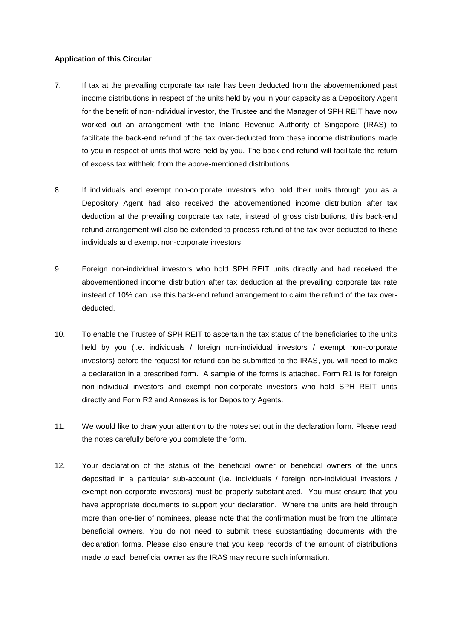## **Application of this Circular**

- 7. If tax at the prevailing corporate tax rate has been deducted from the abovementioned past income distributions in respect of the units held by you in your capacity as a Depository Agent for the benefit of non-individual investor, the Trustee and the Manager of SPH REIT have now worked out an arrangement with the Inland Revenue Authority of Singapore (IRAS) to facilitate the back-end refund of the tax over-deducted from these income distributions made to you in respect of units that were held by you. The back-end refund will facilitate the return of excess tax withheld from the above-mentioned distributions.
- 8. If individuals and exempt non-corporate investors who hold their units through you as a Depository Agent had also received the abovementioned income distribution after tax deduction at the prevailing corporate tax rate, instead of gross distributions, this back-end refund arrangement will also be extended to process refund of the tax over-deducted to these individuals and exempt non-corporate investors.
- 9. Foreign non-individual investors who hold SPH REIT units directly and had received the abovementioned income distribution after tax deduction at the prevailing corporate tax rate instead of 10% can use this back-end refund arrangement to claim the refund of the tax overdeducted.
- 10. To enable the Trustee of SPH REIT to ascertain the tax status of the beneficiaries to the units held by you (i.e. individuals / foreign non-individual investors / exempt non-corporate investors) before the request for refund can be submitted to the IRAS, you will need to make a declaration in a prescribed form. A sample of the forms is attached. Form R1 is for foreign non-individual investors and exempt non-corporate investors who hold SPH REIT units directly and Form R2 and Annexes is for Depository Agents.
- 11. We would like to draw your attention to the notes set out in the declaration form. Please read the notes carefully before you complete the form.
- 12. Your declaration of the status of the beneficial owner or beneficial owners of the units deposited in a particular sub-account (i.e. individuals / foreign non-individual investors / exempt non-corporate investors) must be properly substantiated. You must ensure that you have appropriate documents to support your declaration. Where the units are held through more than one-tier of nominees, please note that the confirmation must be from the ultimate beneficial owners. You do not need to submit these substantiating documents with the declaration forms. Please also ensure that you keep records of the amount of distributions made to each beneficial owner as the IRAS may require such information.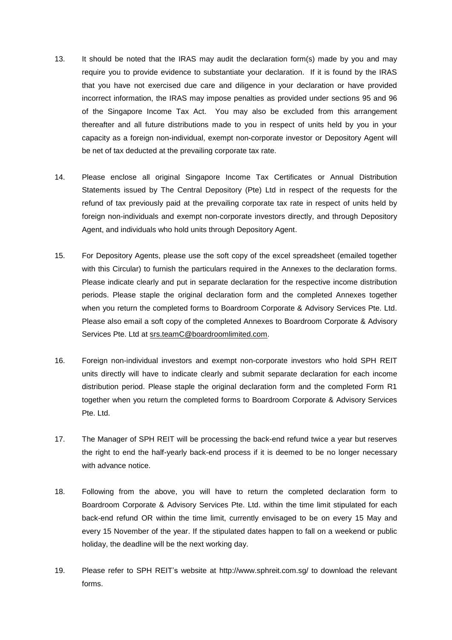- 13. It should be noted that the IRAS may audit the declaration form(s) made by you and may require you to provide evidence to substantiate your declaration. If it is found by the IRAS that you have not exercised due care and diligence in your declaration or have provided incorrect information, the IRAS may impose penalties as provided under sections 95 and 96 of the Singapore Income Tax Act. You may also be excluded from this arrangement thereafter and all future distributions made to you in respect of units held by you in your capacity as a foreign non-individual, exempt non-corporate investor or Depository Agent will be net of tax deducted at the prevailing corporate tax rate.
- 14. Please enclose all original Singapore Income Tax Certificates or Annual Distribution Statements issued by The Central Depository (Pte) Ltd in respect of the requests for the refund of tax previously paid at the prevailing corporate tax rate in respect of units held by foreign non-individuals and exempt non-corporate investors directly, and through Depository Agent, and individuals who hold units through Depository Agent.
- 15. For Depository Agents, please use the soft copy of the excel spreadsheet (emailed together with this Circular) to furnish the particulars required in the Annexes to the declaration forms. Please indicate clearly and put in separate declaration for the respective income distribution periods. Please staple the original declaration form and the completed Annexes together when you return the completed forms to Boardroom Corporate & Advisory Services Pte. Ltd. Please also email a soft copy of the completed Annexes to Boardroom Corporate & Advisory Services Pte. Ltd at srs.teamC@boardroomlimited.com.
- 16. Foreign non-individual investors and exempt non-corporate investors who hold SPH REIT units directly will have to indicate clearly and submit separate declaration for each income distribution period. Please staple the original declaration form and the completed Form R1 together when you return the completed forms to Boardroom Corporate & Advisory Services Pte. Ltd.
- 17. The Manager of SPH REIT will be processing the back-end refund twice a year but reserves the right to end the half-yearly back-end process if it is deemed to be no longer necessary with advance notice.
- 18. Following from the above, you will have to return the completed declaration form to Boardroom Corporate & Advisory Services Pte. Ltd. within the time limit stipulated for each back-end refund OR within the time limit, currently envisaged to be on every 15 May and every 15 November of the year. If the stipulated dates happen to fall on a weekend or public holiday, the deadline will be the next working day.
- 19. Please refer to SPH REIT's website at http://www.sphreit.com.sg/ to download the relevant forms.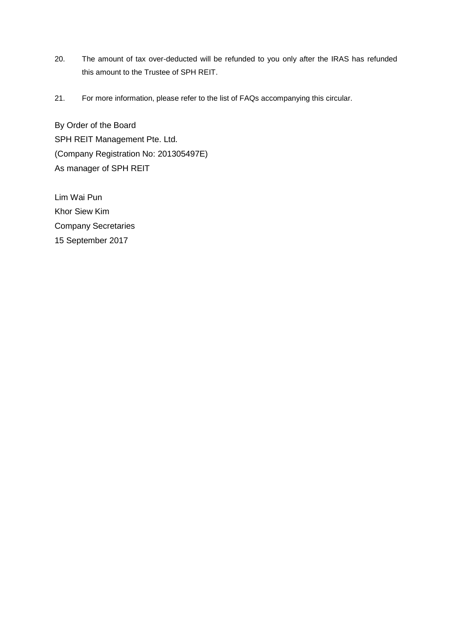- 20. The amount of tax over-deducted will be refunded to you only after the IRAS has refunded this amount to the Trustee of SPH REIT.
- 21. For more information, please refer to the list of FAQs accompanying this circular.

By Order of the Board SPH REIT Management Pte. Ltd. (Company Registration No: 201305497E) As manager of SPH REIT

Lim Wai Pun Khor Siew Kim Company Secretaries 15 September 2017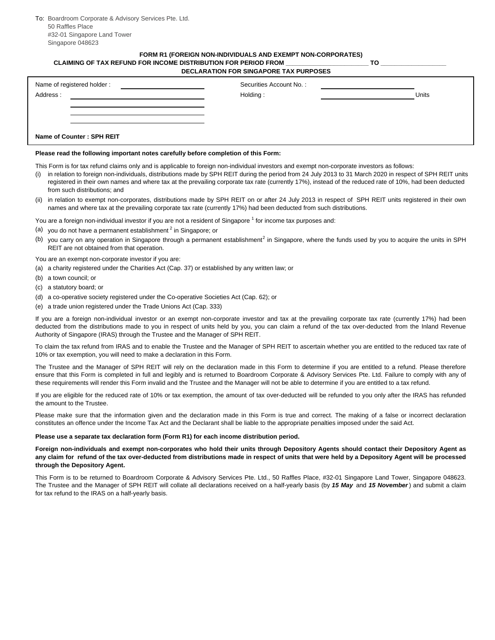To: Boardroom Corporate & Advisory Services Pte. Ltd. 50 Raffles Place #32-01 Singapore Land Tower Singapore 048623

### **DECLARATION FOR SINGAPORE TAX PURPOSES FORM R1 (FOREIGN NON-INDIVIDUALS AND EXEMPT NON-CORPORATES) CLAIMING OF TAX REFUND FOR INCOME DISTRIBUTION FOR PERIOD FROM \_\_\_\_\_\_\_\_\_\_\_\_\_\_\_\_\_\_\_\_\_\_\_\_ TO \_\_\_\_\_\_\_\_\_\_\_\_\_\_\_\_\_\_\_**

| Name of registered holder :<br>Address: | Securities Account No.:<br>Holding: | <b>Units</b> |
|-----------------------------------------|-------------------------------------|--------------|
| Name of Counter: SPH REIT               |                                     |              |

### **Please read the following important notes carefully before completion of this Form:**

This Form is for tax refund claims only and is applicable to foreign non-individual investors and exempt non-corporate investors as follows:

- (i) in relation to foreign non-individuals, distributions made by SPH REIT during the period from 24 July 2013 to 31 March 2020 in respect of SPH REIT units registered in their own names and where tax at the prevailing corporate tax rate (currently 17%), instead of the reduced rate of 10%, had been deducted from such distributions; and
- (ii) in relation to exempt non-corporates, distributions made by SPH REIT on or after 24 July 2013 in respect of SPH REIT units registered in their own names and where tax at the prevailing corporate tax rate (currently 17%) had been deducted from such distributions.

You are a foreign non-individual investor if you are not a resident of Singapore  $^1$  for income tax purposes and:

- (a) you do not have a permanent establishment<sup>2</sup> in Singapore; or
- (b) you carry on any operation in Singapore through a permanent establishment<sup>2</sup> in Singapore, where the funds used by you to acquire the units in SPH REIT are not obtained from that operation.

You are an exempt non-corporate investor if you are:

- (a) a charity registered under the Charities Act (Cap. 37) or established by any written law; or
- (b) a town council; or
- (c) a statutory board; or
- (d) a co-operative society registered under the Co-operative Societies Act (Cap. 62); or
- (e) a trade union registered under the Trade Unions Act (Cap. 333)

If you are a foreign non-individual investor or an exempt non-corporate investor and tax at the prevailing corporate tax rate (currently 17%) had been deducted from the distributions made to you in respect of units held by you, you can claim a refund of the tax over-deducted from the Inland Revenue Authority of Singapore (IRAS) through the Trustee and the Manager of SPH REIT.

To claim the tax refund from IRAS and to enable the Trustee and the Manager of SPH REIT to ascertain whether you are entitled to the reduced tax rate of 10% or tax exemption, you will need to make a declaration in this Form.

The Trustee and the Manager of SPH REIT will rely on the declaration made in this Form to determine if you are entitled to a refund. Please therefore ensure that this Form is completed in full and legibly and is returned to Boardroom Corporate & Advisory Services Pte. Ltd. Failure to comply with any of these requirements will render this Form invalid and the Trustee and the Manager will not be able to determine if you are entitled to a tax refund.

If you are eligible for the reduced rate of 10% or tax exemption, the amount of tax over-deducted will be refunded to you only after the IRAS has refunded the amount to the Trustee.

Please make sure that the information given and the declaration made in this Form is true and correct. The making of a false or incorrect declaration constitutes an offence under the Income Tax Act and the Declarant shall be liable to the appropriate penalties imposed under the said Act.

### **Please use a separate tax declaration form (Form R1) for each income distribution period.**

**Foreign non-individuals and exempt non-corporates who hold their units through Depository Agents should contact their Depository Agent as any claim for refund of the tax over-deducted from distributions made in respect of units that were held by a Depository Agent will be processed through the Depository Agent.**

This Form is to be returned to Boardroom Corporate & Advisory Services Pte. Ltd., 50 Raffles Place, #32-01 Singapore Land Tower, Singapore 048623. The Trustee and the Manager of SPH REIT will collate all declarations received on a half-yearly basis (by *15 May* and *15 November*) and submit a claim for tax refund to the IRAS on a half-yearly basis.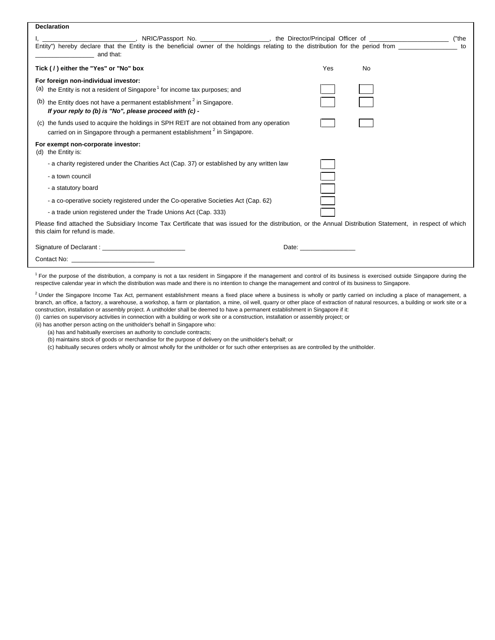| <b>Declaration</b>                                                                                                                                                                           |                                                                                                                                                                                                                                |    |    |
|----------------------------------------------------------------------------------------------------------------------------------------------------------------------------------------------|--------------------------------------------------------------------------------------------------------------------------------------------------------------------------------------------------------------------------------|----|----|
|                                                                                                                                                                                              |                                                                                                                                                                                                                                |    |    |
| Entity") hereby declare that the Entity is the beneficial owner of the holdings relating to the distribution for the period from<br>and that:                                                |                                                                                                                                                                                                                                |    | to |
| Tick (/) either the "Yes" or "No" box                                                                                                                                                        | Yes                                                                                                                                                                                                                            | No |    |
| For foreign non-individual investor:                                                                                                                                                         |                                                                                                                                                                                                                                |    |    |
| (a) the Entity is not a resident of Singapore <sup>1</sup> for income tax purposes; and                                                                                                      |                                                                                                                                                                                                                                |    |    |
| (b) the Entity does not have a permanent establishment $2$ in Singapore.<br>If your reply to (b) is "No", please proceed with (c) -                                                          |                                                                                                                                                                                                                                |    |    |
| (c) the funds used to acquire the holdings in SPH REIT are not obtained from any operation<br>carried on in Singapore through a permanent establishment <sup>2</sup> in Singapore.           |                                                                                                                                                                                                                                |    |    |
| For exempt non-corporate investor:<br>(d) the Entity is:                                                                                                                                     |                                                                                                                                                                                                                                |    |    |
| - a charity registered under the Charities Act (Cap. 37) or established by any written law                                                                                                   |                                                                                                                                                                                                                                |    |    |
| - a town council                                                                                                                                                                             |                                                                                                                                                                                                                                |    |    |
| - a statutory board                                                                                                                                                                          |                                                                                                                                                                                                                                |    |    |
| - a co-operative society registered under the Co-operative Societies Act (Cap. 62)                                                                                                           |                                                                                                                                                                                                                                |    |    |
| - a trade union registered under the Trade Unions Act (Cap. 333)                                                                                                                             |                                                                                                                                                                                                                                |    |    |
| Please find attached the Subsidiary Income Tax Certificate that was issued for the distribution, or the Annual Distribution Statement, in respect of which<br>this claim for refund is made. |                                                                                                                                                                                                                                |    |    |
|                                                                                                                                                                                              | Date: the contract of the contract of the contract of the contract of the contract of the contract of the contract of the contract of the contract of the contract of the contract of the contract of the contract of the cont |    |    |
|                                                                                                                                                                                              |                                                                                                                                                                                                                                |    |    |
|                                                                                                                                                                                              |                                                                                                                                                                                                                                |    |    |

 $<sup>1</sup>$  For the purpose of the distribution, a company is not a tax resident in Singapore if the management and control of its business is exercised outside Singapore during the</sup> respective calendar year in which the distribution was made and there is no intention to change the management and control of its business to Singapore.

(i) carries on supervisory activities in connection with a building or work site or a construction, installation or assembly project; or  $^{2}$  Under the Singapore Income Tax Act, permanent establishment means a fixed place where a business is wholly or partly carried on including a place of management, a branch, an office, a factory, a warehouse, a workshop, a farm or plantation, a mine, oil well, quarry or other place of extraction of natural resources, a building or work site or a construction, installation or assembly project. A unitholder shall be deemed to have a permanent establishment in Singapore if it:

(ii) has another person acting on the unitholder's behalf in Singapore who:

(a) has and habitually exercises an authority to conclude contracts;

(b) maintains stock of goods or merchandise for the purpose of delivery on the unitholder's behalf; or

(c) habitually secures orders wholly or almost wholly for the unitholder or for such other enterprises as are controlled by the unitholder.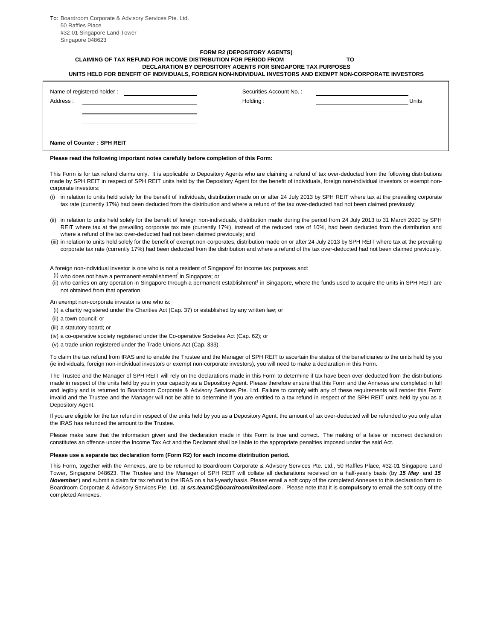To: Boardroom Corporate & Advisory Services Pte. Ltd. 50 Raffles Place #32-01 Singapore Land Tower Singapore 048623

# **FORM R2 (DEPOSITORY AGENTS)**

**DECLARATION BY DEPOSITORY AGENTS FOR SINGAPORE TAX PURPOSES CLAIMING OF TAX REFUND FOR INCOME DISTRIBUTION FOR PERIOD FROM \_\_\_\_\_\_\_\_\_\_\_\_\_\_\_\_\_\_\_ TO \_\_\_\_\_\_\_\_\_\_\_\_\_\_\_\_\_\_\_\_**

**UNITS HELD FOR BENEFIT OF INDIVIDUALS, FOREIGN NON-INDIVIDUAL INVESTORS AND EXEMPT NON-CORPORATE INVESTORS**

| Name of registered holder:<br>Address: | Securities Account No.:<br>Holding: | Units |
|----------------------------------------|-------------------------------------|-------|
| Name of Counter: SPH REIT              |                                     |       |

#### **Please read the following important notes carefully before completion of this Form:**

This Form is for tax refund claims only. It is applicable to Depository Agents who are claiming a refund of tax over-deducted from the following distributions made by SPH REIT in respect of SPH REIT units held by the Depository Agent for the benefit of individuals, foreign non-individual investors or exempt noncorporate investors:

- (i) in relation to units held solely for the benefit of individuals, distribution made on or after 24 July 2013 by SPH REIT where tax at the prevailing corporate tax rate (currently 17%) had been deducted from the distribution and where a refund of the tax over-deducted had not been claimed previously;
- (ii) in relation to units held solely for the benefit of foreign non-individuals, distribution made during the period from 24 July 2013 to 31 March 2020 by SPH REIT where tax at the prevailing corporate tax rate (currently 17%), instead of the reduced rate of 10%, had been deducted from the distribution and where a refund of the tax over-deducted had not been claimed previously; and
- (iii) in relation to units held solely for the benefit of exempt non-corporates, distribution made on or after 24 July 2013 by SPH REIT where tax at the prevailing corporate tax rate (currently 17%) had been deducted from the distribution and where a refund of the tax over-deducted had not been claimed previously.

A foreign non-individual investor is one who is not a resident of Singapore <sup>1</sup> for income tax purposes and:

- $(i)$  who does not have a permanent establishmen $\hat{f}$  in Singapore; or
- (ii) who carries on any operation in Singapore through a permanent establishment<sup>2</sup> in Singapore, where the funds used to acquire the units in SPH REIT are not obtained from that operation.

An exempt non-corporate investor is one who is:

- (i) a charity registered under the Charities Act (Cap. 37) or established by any written law; or
- (ii) a town council; or
- (iii) a statutory board; or
- (iv) a co-operative society registered under the Co-operative Societies Act (Cap. 62); or
- (v) a trade union registered under the Trade Unions Act (Cap. 333)

To claim the tax refund from IRAS and to enable the Trustee and the Manager of SPH REIT to ascertain the status of the beneficiaries to the units held by you (ie individuals, foreign non-individual investors or exempt non-corporate investors), you will need to make a declaration in this Form.

The Trustee and the Manager of SPH REIT will rely on the declarations made in this Form to determine if tax have been over-deducted from the distributions made in respect of the units held by you in your capacity as a Depository Agent. Please therefore ensure that this Form and the Annexes are completed in full and legibly and is returned to Boardroom Corporate & Advisory Services Pte. Ltd. Failure to comply with any of these requirements will render this Form invalid and the Trustee and the Manager will not be able to determine if you are entitled to a tax refund in respect of the SPH REIT units held by you as a Depository Agent.

If you are eligible for the tax refund in respect of the units held by you as a Depository Agent, the amount of tax over-deducted will be refunded to you only after the IRAS has refunded the amount to the Trustee.

Please make sure that the information given and the declaration made in this Form is true and correct. The making of a false or incorrect declaration constitutes an offence under the Income Tax Act and the Declarant shall be liable to the appropriate penalties imposed under the said Act.

#### **Please use a separate tax declaration form (Form R2) for each income distribution period.**

This Form, together with the Annexes, are to be returned to Boardroom Corporate & Advisory Services Pte. Ltd., 50 Raffles Place, #32-01 Singapore Land Tower, Singapore 048623. The Trustee and the Manager of SPH REIT will collate all declarations received on a half-yearly basis (by *15 May* and *15 November*) and submit a claim for tax refund to the IRAS on a half-yearly basis. Please email a soft copy of the completed Annexes to this declaration form to Boardroom Corporate & Advisory Services Pte. Ltd. at *srs.teamC@boardroomlimited.com*. Please note that it is **compulsory** to email the soft copy of the completed Annexes.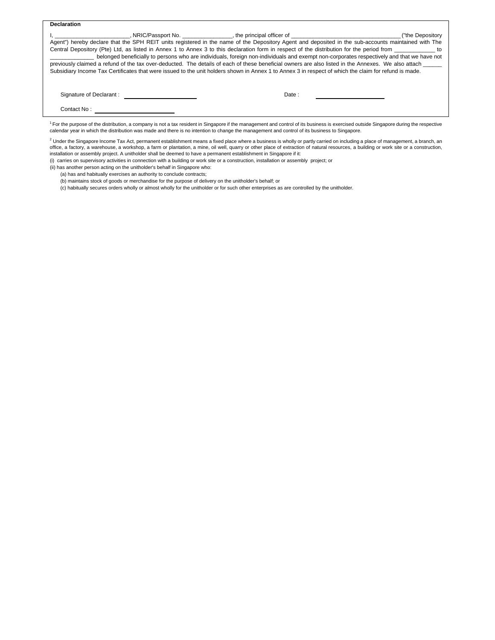| <b>Declaration</b>                                                                                                                                                                                                             |                                                                                                                                                       |                  |
|--------------------------------------------------------------------------------------------------------------------------------------------------------------------------------------------------------------------------------|-------------------------------------------------------------------------------------------------------------------------------------------------------|------------------|
| in the contract of the contract of the contract of the contract of the contract of the contract of the contract of the contract of the contract of the contract of the contract of the contract of the contract of the contrac |                                                                                                                                                       | ("the Depository |
|                                                                                                                                                                                                                                | Agent") hereby declare that the SPH REIT units registered in the name of the Depository Agent and deposited in the sub-accounts maintained with The   |                  |
|                                                                                                                                                                                                                                | Central Depository (Pte) Ltd, as listed in Annex 1 to Annex 3 to this declaration form in respect of the distribution for the period from             |                  |
|                                                                                                                                                                                                                                | belonged beneficially to persons who are individuals, foreign non-individuals and exempt non-corporates respectively and that we have not             |                  |
|                                                                                                                                                                                                                                | previously claimed a refund of the tax over-deducted. The details of each of these beneficial owners are also listed in the Annexes. We also attach   |                  |
|                                                                                                                                                                                                                                | Subsidiary Income Tax Certificates that were issued to the unit holders shown in Annex 1 to Annex 3 in respect of which the claim for refund is made. |                  |
|                                                                                                                                                                                                                                |                                                                                                                                                       |                  |
| Signature of Declarant:                                                                                                                                                                                                        | Date:                                                                                                                                                 |                  |
|                                                                                                                                                                                                                                |                                                                                                                                                       |                  |
| Contact No:                                                                                                                                                                                                                    |                                                                                                                                                       |                  |
|                                                                                                                                                                                                                                |                                                                                                                                                       |                  |

<sup>1</sup> For the purpose of the distribution, a company is not a tax resident in Singapore if the management and control of its business is exercised outside Singapore during the respective calendar year in which the distribution was made and there is no intention to change the management and control of its business to Singapore.

<sup>2</sup> Under the Singapore Income Tax Act, permanent establishment means a fixed place where a business is wholly or partly carried on including a place of management, a branch, an<br>office, a factory, a warehouse, a workshop, installation or assembly project. A unitholder shall be deemed to have a permanent establishment in Singapore if it:

(i) carries on supervisory activities in connection with a building or work site or a construction, installation or assembly project; or

(ii) has another person acting on the unitholder's behalf in Singapore who:

(a) has and habitually exercises an authority to conclude contracts;

(b) maintains stock of goods or merchandise for the purpose of delivery on the unitholder's behalf; or

(c) habitually secures orders wholly or almost wholly for the unitholder or for such other enterprises as are controlled by the unitholder.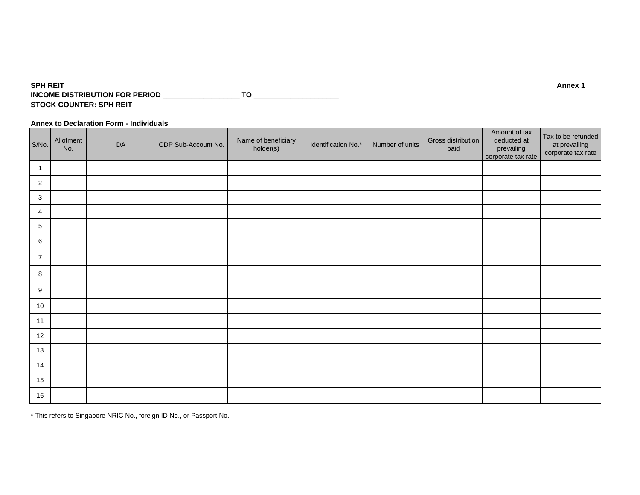#### **SPH REIT Annex 1 INCOME DISTRIBUTION FOR PERIOD \_\_\_\_\_\_\_\_\_\_\_\_\_\_\_\_\_\_\_ TO \_\_\_\_\_\_\_\_\_\_\_\_\_\_\_\_\_\_\_\_\_ STOCK COUNTER: SPH REIT**

### **Annex to Declaration Form - Individuals**

| S/No.          | Allotment<br>No. | DA | CDP Sub-Account No. | Name of beneficiary<br>holder(s) | Identification No.* | Number of units | Gross distribution<br>paid | Amount of tax<br>deducted at<br>prevailing<br>corporate tax rate | Tax to be refunded<br>at prevailing<br>corporate tax rate |
|----------------|------------------|----|---------------------|----------------------------------|---------------------|-----------------|----------------------------|------------------------------------------------------------------|-----------------------------------------------------------|
| $\overline{1}$ |                  |    |                     |                                  |                     |                 |                            |                                                                  |                                                           |
| 2              |                  |    |                     |                                  |                     |                 |                            |                                                                  |                                                           |
| 3              |                  |    |                     |                                  |                     |                 |                            |                                                                  |                                                           |
| $\overline{4}$ |                  |    |                     |                                  |                     |                 |                            |                                                                  |                                                           |
| 5              |                  |    |                     |                                  |                     |                 |                            |                                                                  |                                                           |
| 6              |                  |    |                     |                                  |                     |                 |                            |                                                                  |                                                           |
| $\overline{7}$ |                  |    |                     |                                  |                     |                 |                            |                                                                  |                                                           |
| 8              |                  |    |                     |                                  |                     |                 |                            |                                                                  |                                                           |
| 9              |                  |    |                     |                                  |                     |                 |                            |                                                                  |                                                           |
| 10             |                  |    |                     |                                  |                     |                 |                            |                                                                  |                                                           |
| 11             |                  |    |                     |                                  |                     |                 |                            |                                                                  |                                                           |
| 12             |                  |    |                     |                                  |                     |                 |                            |                                                                  |                                                           |
| 13             |                  |    |                     |                                  |                     |                 |                            |                                                                  |                                                           |
| 14             |                  |    |                     |                                  |                     |                 |                            |                                                                  |                                                           |
| 15             |                  |    |                     |                                  |                     |                 |                            |                                                                  |                                                           |
| 16             |                  |    |                     |                                  |                     |                 |                            |                                                                  |                                                           |

\* This refers to Singapore NRIC No., foreign ID No., or Passport No.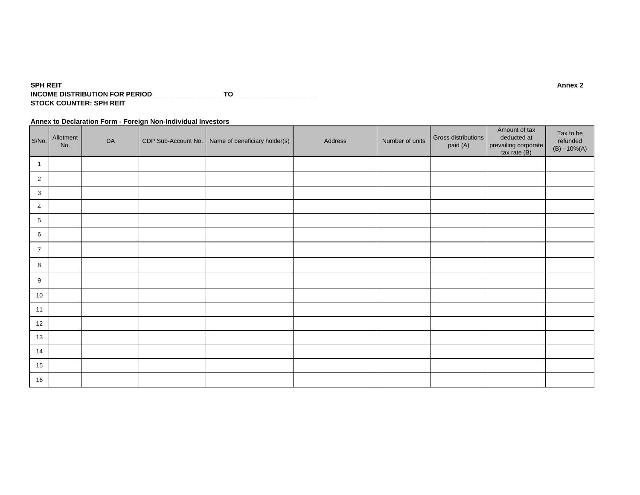#### **SPH REIT Annex 2 INCOME DISTRIBUTION FOR PERIOD \_\_\_\_\_\_\_\_\_\_\_\_\_\_\_\_\_\_ TO \_\_\_\_\_\_\_\_\_\_\_\_\_\_\_\_\_\_\_\_\_ STOCK COUNTER: SPH REIT**

**Annex to Declaration Form - Foreign Non-Individual Investors**

| S/No.          | Allotment<br>No. | DA | CDP Sub-Account No.   Name of beneficiary holder(s) | Address | Number of units | Gross distributions<br>paid (A) | Amount of tax<br>deducted at<br>prevailing corporate<br>tax rate (B) | Tax to be<br>refunded<br>$(B) - 10\%(A)$ |
|----------------|------------------|----|-----------------------------------------------------|---------|-----------------|---------------------------------|----------------------------------------------------------------------|------------------------------------------|
| $\mathbf{1}$   |                  |    |                                                     |         |                 |                                 |                                                                      |                                          |
| $\overline{2}$ |                  |    |                                                     |         |                 |                                 |                                                                      |                                          |
| 3              |                  |    |                                                     |         |                 |                                 |                                                                      |                                          |
| 4              |                  |    |                                                     |         |                 |                                 |                                                                      |                                          |
| 5              |                  |    |                                                     |         |                 |                                 |                                                                      |                                          |
| 6              |                  |    |                                                     |         |                 |                                 |                                                                      |                                          |
| $\overline{7}$ |                  |    |                                                     |         |                 |                                 |                                                                      |                                          |
| 8              |                  |    |                                                     |         |                 |                                 |                                                                      |                                          |
| 9              |                  |    |                                                     |         |                 |                                 |                                                                      |                                          |
| 10             |                  |    |                                                     |         |                 |                                 |                                                                      |                                          |
| 11             |                  |    |                                                     |         |                 |                                 |                                                                      |                                          |
| 12             |                  |    |                                                     |         |                 |                                 |                                                                      |                                          |
| 13             |                  |    |                                                     |         |                 |                                 |                                                                      |                                          |
| 14             |                  |    |                                                     |         |                 |                                 |                                                                      |                                          |
| 15             |                  |    |                                                     |         |                 |                                 |                                                                      |                                          |
| 16             |                  |    |                                                     |         |                 |                                 |                                                                      |                                          |